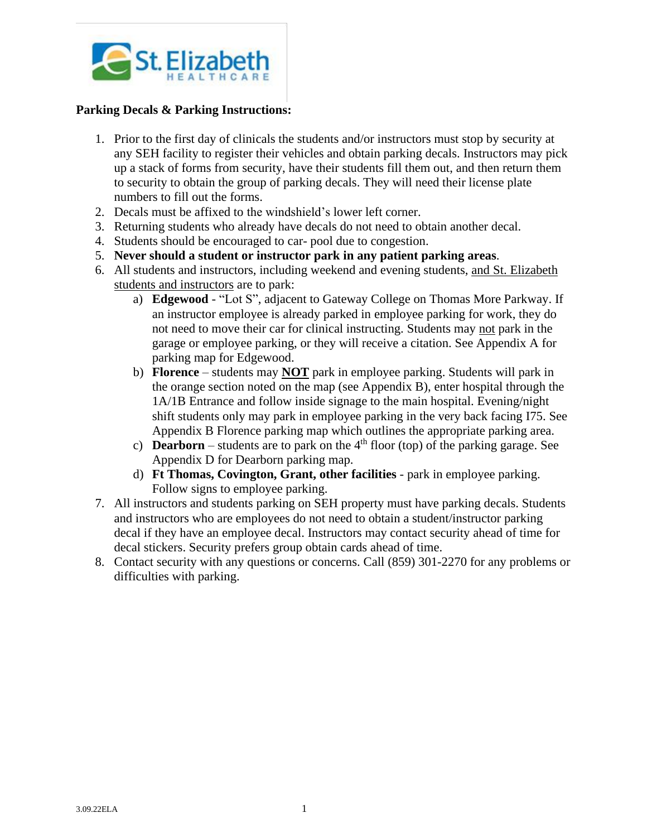

#### **Parking Decals & Parking Instructions:**

- 1. Prior to the first day of clinicals the students and/or instructors must stop by security at any SEH facility to register their vehicles and obtain parking decals. Instructors may pick up a stack of forms from security, have their students fill them out, and then return them to security to obtain the group of parking decals. They will need their license plate numbers to fill out the forms.
- 2. Decals must be affixed to the windshield's lower left corner.
- 3. Returning students who already have decals do not need to obtain another decal.
- 4. Students should be encouraged to car- pool due to congestion.
- 5. **Never should a student or instructor park in any patient parking areas**.
- 6. All students and instructors, including weekend and evening students, and St. Elizabeth students and instructors are to park:
	- a) **Edgewood** "Lot S", adjacent to Gateway College on Thomas More Parkway. If an instructor employee is already parked in employee parking for work, they do not need to move their car for clinical instructing. Students may not park in the garage or employee parking, or they will receive a citation. See Appendix A for parking map for Edgewood.
	- b) **Florence** students may **NOT** park in employee parking. Students will park in the orange section noted on the map (see Appendix B), enter hospital through the 1A/1B Entrance and follow inside signage to the main hospital. Evening/night shift students only may park in employee parking in the very back facing I75. See Appendix B Florence parking map which outlines the appropriate parking area.
	- c) **Dearborn** students are to park on the  $4<sup>th</sup>$  floor (top) of the parking garage. See Appendix D for Dearborn parking map.
	- d) **Ft Thomas, Covington, Grant, other facilities** park in employee parking. Follow signs to employee parking.
- 7. All instructors and students parking on SEH property must have parking decals. Students and instructors who are employees do not need to obtain a student/instructor parking decal if they have an employee decal. Instructors may contact security ahead of time for decal stickers. Security prefers group obtain cards ahead of time.
- 8. Contact security with any questions or concerns. Call (859) 301-2270 for any problems or difficulties with parking.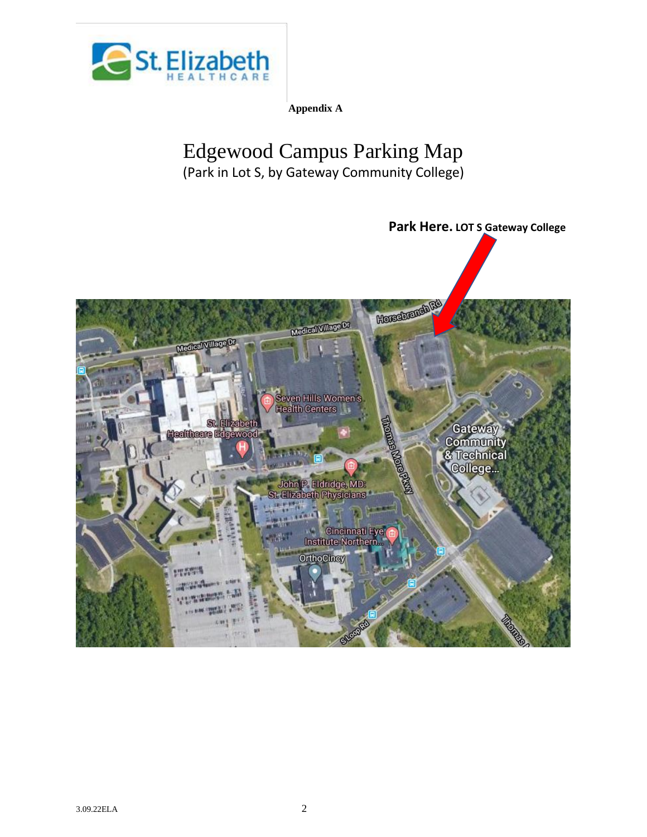

 **Appendix A**

# Edgewood Campus Parking Map (Park in Lot S, by Gateway Community College)

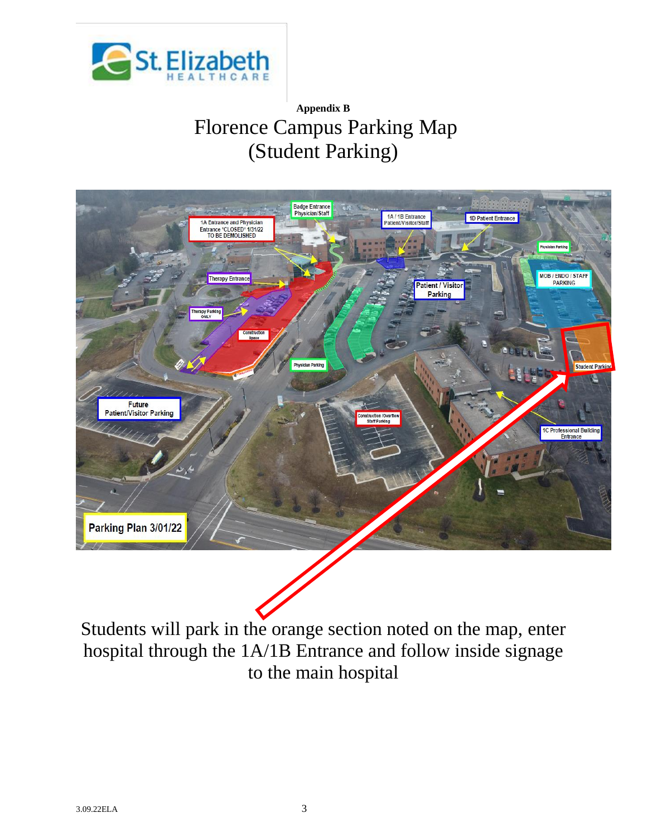

# **Appendix B** Florence Campus Parking Map (Student Parking)



Students will park in the orange section noted on the map, enter hospital through the 1A/1B Entrance and follow inside signage to the main hospital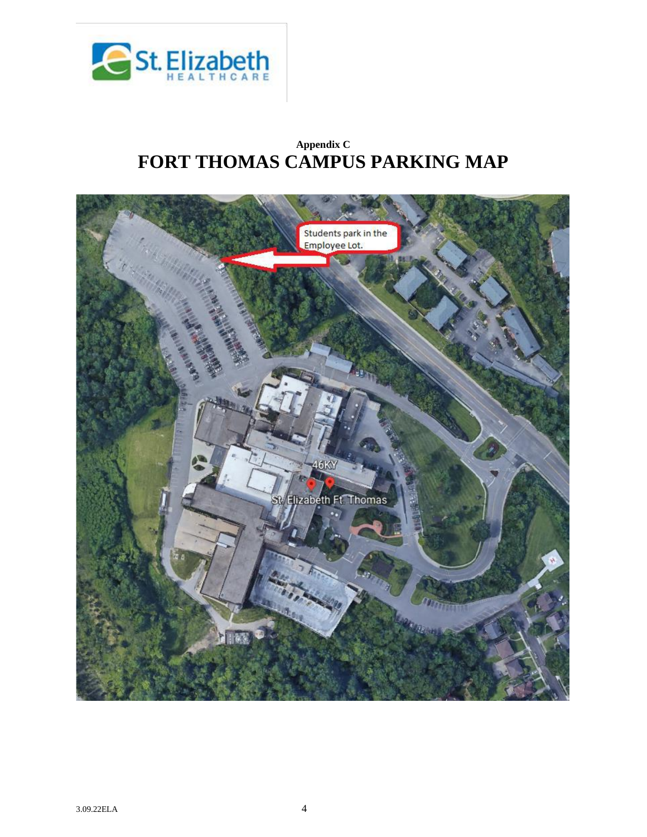

### **Appendix C FORT THOMAS CAMPUS PARKING MAP**